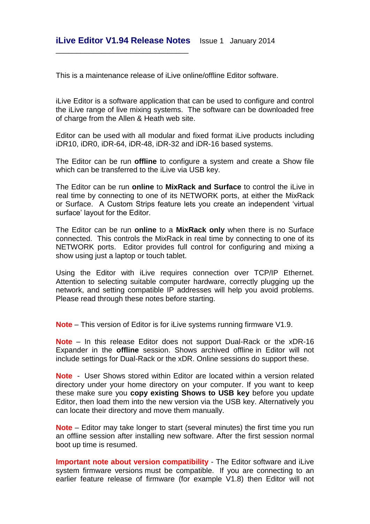\_\_\_\_\_\_\_\_\_\_\_\_\_\_\_\_\_\_\_\_\_\_\_\_\_\_\_\_\_\_\_\_

This is a maintenance release of il ive online/offline Editor software.

iLive Editor is a software application that can be used to configure and control the iLive range of live mixing systems. The software can be downloaded free of charge from the Allen & Heath web site.

Editor can be used with all modular and fixed format iLive products including iDR10, iDR0, iDR-64, iDR-48, iDR-32 and iDR-16 based systems.

The Editor can be run **offline** to configure a system and create a Show file which can be transferred to the iLive via USB key.

The Editor can be run **online** to **MixRack and Surface** to control the iLive in real time by connecting to one of its NETWORK ports, at either the MixRack or Surface. A Custom Strips feature lets you create an independent 'virtual surface' layout for the Editor.

The Editor can be run **online** to a **MixRack only** when there is no Surface connected. This controls the MixRack in real time by connecting to one of its NETWORK ports. Editor provides full control for configuring and mixing a show using just a laptop or touch tablet.

Using the Editor with iLive requires connection over TCP/IP Ethernet. Attention to selecting suitable computer hardware, correctly plugging up the network, and setting compatible IP addresses will help you avoid problems. Please read through these notes before starting.

**Note** – This version of Editor is for iLive systems running firmware V1.9.

**Note** – In this release Editor does not support Dual-Rack or the xDR-16 Expander in the **offline** session. Shows archived offline in Editor will not include settings for Dual-Rack or the xDR. Online sessions do support these.

**Note** - User Shows stored within Editor are located within a version related directory under your home directory on your computer. If you want to keep these make sure you **copy existing Shows to USB key** before you update Editor, then load them into the new version via the USB key. Alternatively you can locate their directory and move them manually.

**Note** – Editor may take longer to start (several minutes) the first time you run an offline session after installing new software. After the first session normal boot up time is resumed.

**Important note about version compatibility** - The Editor software and iLive system firmware versions must be compatible. If you are connecting to an earlier feature release of firmware (for example V1.8) then Editor will not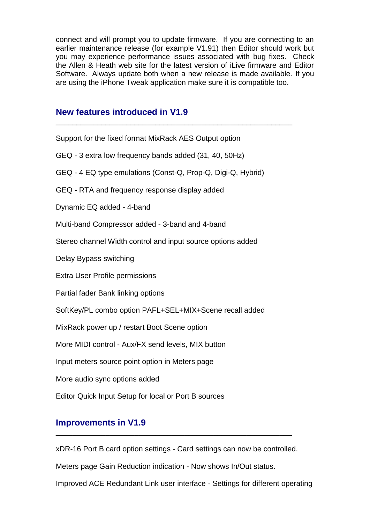connect and will prompt you to update firmware. If you are connecting to an earlier maintenance release (for example V1.91) then Editor should work but you may experience performance issues associated with bug fixes.Check the Allen & Heath web site for the latest version of iLive firmware and Editor Software. Always update both when a new release is made available. If you are using the iPhone Tweak application make sure it is compatible too.

\_\_\_\_\_\_\_\_\_\_\_\_\_\_\_\_\_\_\_\_\_\_\_\_\_\_\_\_\_\_\_\_\_\_\_\_\_\_\_\_\_\_\_\_\_\_\_\_\_\_\_\_\_\_\_\_\_

### **New features introduced in V1.9**

| Support for the fixed format MixRack AES Output option       |
|--------------------------------------------------------------|
| GEQ - 3 extra low frequency bands added (31, 40, 50Hz)       |
| GEQ - 4 EQ type emulations (Const-Q, Prop-Q, Digi-Q, Hybrid) |
| GEQ - RTA and frequency response display added               |
| Dynamic EQ added - 4-band                                    |
| Multi-band Compressor added - 3-band and 4-band              |
| Stereo channel Width control and input source options added  |
| Delay Bypass switching                                       |
| <b>Extra User Profile permissions</b>                        |
| Partial fader Bank linking options                           |
| SoftKey/PL combo option PAFL+SEL+MIX+Scene recall added      |
| MixRack power up / restart Boot Scene option                 |
| More MIDI control - Aux/FX send levels, MIX button           |
| Input meters source point option in Meters page              |
| More audio sync options added                                |
| Editor Quick Input Setup for local or Port B sources         |

# **Improvements in V1.9**

xDR-16 Port B card option settings - Card settings can now be controlled.

\_\_\_\_\_\_\_\_\_\_\_\_\_\_\_\_\_\_\_\_\_\_\_\_\_\_\_\_\_\_\_\_\_\_\_\_\_\_\_\_\_\_\_\_\_\_\_\_\_\_\_\_\_\_\_\_\_

Meters page Gain Reduction indication - Now shows In/Out status.

Improved ACE Redundant Link user interface - Settings for different operating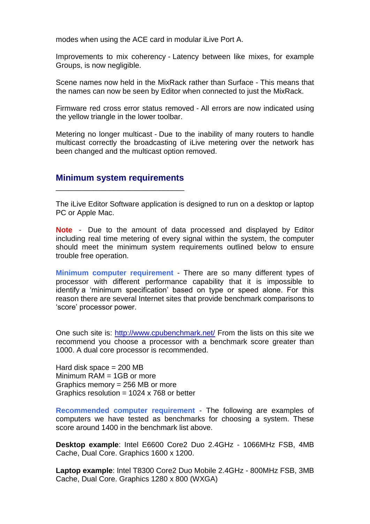modes when using the ACE card in modular iLive Port A.

Improvements to mix coherency - Latency between like mixes, for example Groups, is now negligible.

Scene names now held in the MixRack rather than Surface - This means that the names can now be seen by Editor when connected to just the MixRack.

Firmware red cross error status removed - All errors are now indicated using the yellow triangle in the lower toolbar.

Metering no longer multicast - Due to the inability of many routers to handle multicast correctly the broadcasting of iLive metering over the network has been changed and the multicast option removed.

#### **Minimum system requirements** \_\_\_\_\_\_\_\_\_\_\_\_\_\_\_\_\_\_\_\_\_\_\_\_\_\_\_\_\_\_\_

The iLive Editor Software application is designed to run on a desktop or laptop PC or Apple Mac.

**Note** - Due to the amount of data processed and displayed by Editor including real time metering of every signal within the system, the computer should meet the minimum system requirements outlined below to ensure trouble free operation.

**Minimum computer requirement** - There are so many different types of processor with different performance capability that it is impossible to identify a 'minimum specification' based on type or speed alone. For this reason there are several Internet sites that provide benchmark comparisons to 'score' processor power.

One such site is:<http://www.cpubenchmark.net/> From the lists on this site we recommend you choose a processor with a benchmark score greater than 1000. A dual core processor is recommended.

Hard disk space  $= 200$  MB Minimum RAM = 1GB or more Graphics memory = 256 MB or more Graphics resolution =  $1024 \times 768$  or better

**Recommended computer requirement** - The following are examples of computers we have tested as benchmarks for choosing a system. These score around 1400 in the benchmark list above.

**Desktop example**: Intel E6600 Core2 Duo 2.4GHz - 1066MHz FSB, 4MB Cache, Dual Core. Graphics 1600 x 1200.

**Laptop example**: Intel T8300 Core2 Duo Mobile 2.4GHz - 800MHz FSB, 3MB Cache, Dual Core. Graphics 1280 x 800 (WXGA)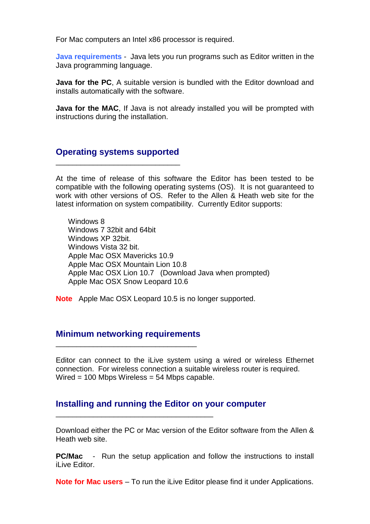For Mac computers an Intel x86 processor is required.

**Java requirements** - Java lets you run programs such as Editor written in the Java programming language.

**Java for the PC**, A suitable version is bundled with the Editor download and installs automatically with the software.

**Java for the MAC**, If Java is not already installed you will be prompted with instructions during the installation.

#### **Operating systems supported** \_\_\_\_\_\_\_\_\_\_\_\_\_\_\_\_\_\_\_\_\_\_\_\_\_\_\_\_\_\_

At the time of release of this software the Editor has been tested to be compatible with the following operating systems (OS). It is not guaranteed to work with other versions of OS. Refer to the Allen & Heath web site for the latest information on system compatibility. Currently Editor supports:

 Windows 8 Windows 7 32bit and 64bit Windows XP 32bit. Windows Vista 32 bit. Apple Mac OSX Mavericks 10.9 Apple Mac OSX Mountain Lion 10.8 Apple Mac OSX Lion 10.7 (Download Java when prompted) Apple Mac OSX Snow Leopard 10.6

**Note** Apple Mac OSX Leopard 10.5 is no longer supported.

#### **Minimum networking requirements** \_\_\_\_\_\_\_\_\_\_\_\_\_\_\_\_\_\_\_\_\_\_\_\_\_\_\_\_\_\_\_\_\_\_

\_\_\_\_\_\_\_\_\_\_\_\_\_\_\_\_\_\_\_\_\_\_\_\_\_\_\_\_\_\_\_\_\_\_\_\_\_\_

Editor can connect to the iLive system using a wired or wireless Ethernet connection. For wireless connection a suitable wireless router is required. Wired = 100 Mbps Wireless = 54 Mbps capable.

### **Installing and running the Editor on your computer**

Download either the PC or Mac version of the Editor software from the Allen & Heath web site.

**PC/Mac** - Run the setup application and follow the instructions to install iLive Editor.

**Note for Mac users** – To run the iLive Editor please find it under Applications.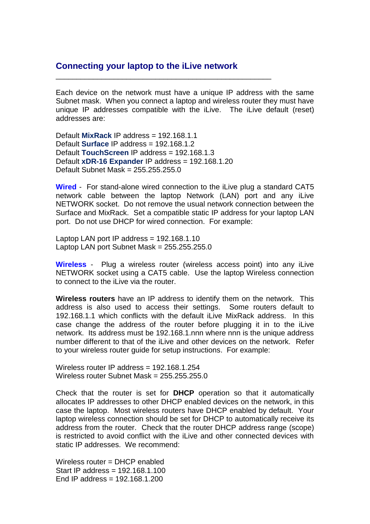### **Connecting your laptop to the iLive network**

\_\_\_\_\_\_\_\_\_\_\_\_\_\_\_\_\_\_\_\_\_\_\_\_\_\_\_\_\_\_\_\_\_\_\_\_\_\_\_\_\_\_\_\_\_\_\_\_\_\_\_\_

Each device on the network must have a unique IP address with the same Subnet mask. When you connect a laptop and wireless router they must have unique IP addresses compatible with the iLive. The iLive default (reset) addresses are:

Default **MixRack** IP address = 192.168.1.1 Default **Surface** IP address = 192.168.1.2 Default **TouchScreen** IP address = 192.168.1.3 Default **xDR-16 Expander** IP address = 192.168.1.20 Default Subnet Mask = 255.255.255.0

**Wired** - For stand-alone wired connection to the iLive plug a standard CAT5 network cable between the laptop Network (LAN) port and any iLive NETWORK socket. Do not remove the usual network connection between the Surface and MixRack. Set a compatible static IP address for your laptop LAN port. Do not use DHCP for wired connection. For example:

Laptop LAN port IP address  $= 192.168.1.10$ Laptop LAN port Subnet Mask = 255.255.255.0

**Wireless** - Plug a wireless router (wireless access point) into any iLive NETWORK socket using a CAT5 cable. Use the laptop Wireless connection to connect to the iLive via the router.

**Wireless routers** have an IP address to identify them on the network. This address is also used to access their settings. Some routers default to 192.168.1.1 which conflicts with the default iLive MixRack address. In this case change the address of the router before plugging it in to the iLive network. Its address must be 192.168.1.nnn where nnn is the unique address number different to that of the iLive and other devices on the network. Refer to your wireless router guide for setup instructions. For example:

Wireless router IP address = 192.168.1.254 Wireless router Subnet Mask =  $255.255.255.0$ 

Check that the router is set for **DHCP** operation so that it automatically allocates IP addresses to other DHCP enabled devices on the network, in this case the laptop. Most wireless routers have DHCP enabled by default. Your laptop wireless connection should be set for DHCP to automatically receive its address from the router. Check that the router DHCP address range (scope) is restricted to avoid conflict with the iLive and other connected devices with static IP addresses. We recommend:

Wireless router = DHCP enabled Start IP address = 192.168.1.100 End IP address =  $192.168.1.200$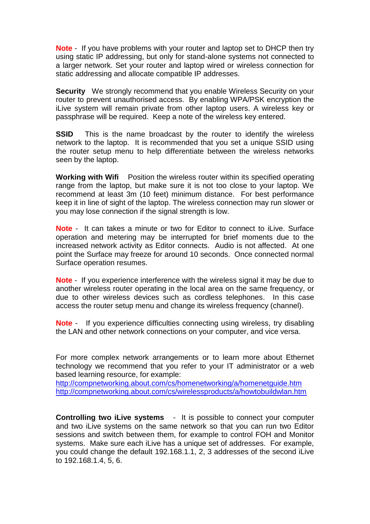**Note** - If you have problems with your router and laptop set to DHCP then try using static IP addressing, but only for stand-alone systems not connected to a larger network. Set your router and laptop wired or wireless connection for static addressing and allocate compatible IP addresses.

**Security** We strongly recommend that you enable Wireless Security on your router to prevent unauthorised access. By enabling WPA/PSK encryption the iLive system will remain private from other laptop users. A wireless key or passphrase will be required. Keep a note of the wireless key entered.

**SSID** This is the name broadcast by the router to identify the wireless network to the laptop. It is recommended that you set a unique SSID using the router setup menu to help differentiate between the wireless networks seen by the laptop.

**Working with Wifi** Position the wireless router within its specified operating range from the laptop, but make sure it is not too close to your laptop. We recommend at least 3m (10 feet) minimum distance. For best performance keep it in line of sight of the laptop. The wireless connection may run slower or you may lose connection if the signal strength is low.

**Note** - It can takes a minute or two for Editor to connect to iLive. Surface operation and metering may be interrupted for brief moments due to the increased network activity as Editor connects. Audio is not affected. At one point the Surface may freeze for around 10 seconds. Once connected normal Surface operation resumes.

**Note** - If you experience interference with the wireless signal it may be due to another wireless router operating in the local area on the same frequency, or due to other wireless devices such as cordless telephones. In this case access the router setup menu and change its wireless frequency (channel).

**Note** - If you experience difficulties connecting using wireless, try disabling the LAN and other network connections on your computer, and vice versa.

For more complex network arrangements or to learn more about Ethernet technology we recommend that you refer to your IT administrator or a web based learning resource, for example:

<http://compnetworking.about.com/cs/homenetworking/a/homenetguide.htm> <http://compnetworking.about.com/cs/wirelessproducts/a/howtobuildwlan.htm>

**Controlling two iLive systems** - It is possible to connect your computer and two iLive systems on the same network so that you can run two Editor sessions and switch between them, for example to control FOH and Monitor systems. Make sure each iLive has a unique set of addresses. For example, you could change the default 192.168.1.1, 2, 3 addresses of the second iLive to 192.168.1.4, 5, 6.